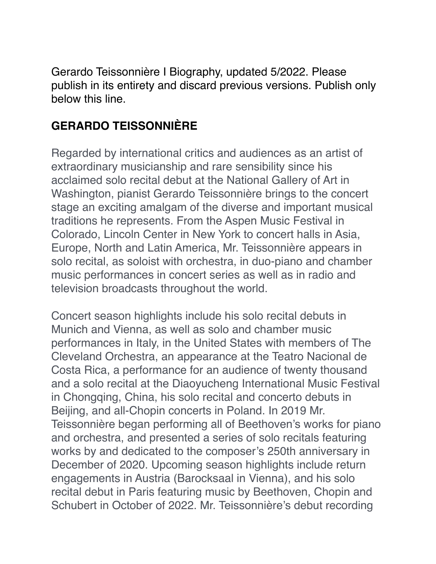Gerardo Teissonnière I Biography, updated 5/2022. Please publish in its entirety and discard previous versions. Publish only below this line.

## **GERARDO TEISSONNIÈRE**

Regarded by international critics and audiences as an artist of extraordinary musicianship and rare sensibility since his acclaimed solo recital debut at the National Gallery of Art in Washington, pianist Gerardo Teissonnière brings to the concert stage an exciting amalgam of the diverse and important musical traditions he represents. From the Aspen Music Festival in Colorado, Lincoln Center in New York to concert halls in Asia, Europe, North and Latin America, Mr. Teissonnière appears in solo recital, as soloist with orchestra, in duo-piano and chamber music performances in concert series as well as in radio and television broadcasts throughout the world.

Concert season highlights include his solo recital debuts in Munich and Vienna, as well as solo and chamber music performances in Italy, in the United States with members of The Cleveland Orchestra, an appearance at the Teatro Nacional de Costa Rica, a performance for an audience of twenty thousand and a solo recital at the Diaoyucheng International Music Festival in Chongqing, China, his solo recital and concerto debuts in Beijing, and all-Chopin concerts in Poland. In 2019 Mr. Teissonnière began performing all of Beethoven's works for piano and orchestra, and presented a series of solo recitals featuring works by and dedicated to the composer's 250th anniversary in December of 2020. Upcoming season highlights include return engagements in Austria (Barocksaal in Vienna), and his solo recital debut in Paris featuring music by Beethoven, Chopin and Schubert in October of 2022. Mr. Teissonnière's debut recording